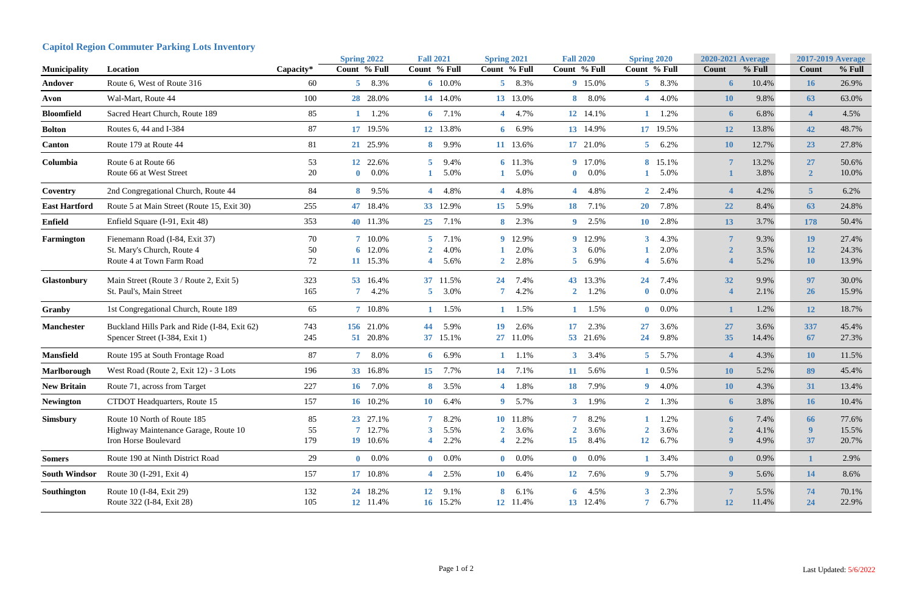|                      |                                                         |             | <b>Spring 2022</b>      | <b>Fall 2021</b>                  | <b>Spring 2021</b>           | <b>Fall 2020</b>        | <b>Spring 2020</b>      | <b>2020-2021 Average</b>  | <b>2017-2019 Average</b>                 |
|----------------------|---------------------------------------------------------|-------------|-------------------------|-----------------------------------|------------------------------|-------------------------|-------------------------|---------------------------|------------------------------------------|
| <b>Municipality</b>  | Location                                                | $Capacity*$ | Count % Full            | Count % Full                      | Count % Full                 | Count % Full            | Count % Full            | $%$ Full<br><b>Count</b>  | % Full<br>Count                          |
| Andover              | Route 6, West of Route 316                              | 60          | 5 8.3%                  | 6 10.0%                           | 5 8.3%                       | 9 15.0%                 | $5\quad 8.3\%$          | 10.4%<br>$\boldsymbol{6}$ | 26.9%<br><b>16</b>                       |
| Avon                 | Wal-Mart, Route 44                                      | 100         | 28 28.0%                | 14 14.0%                          | 13 13.0%                     | 8.0%<br>8               | 4 4.0%                  | 9.8%<br><b>10</b>         | 63.0%<br>63                              |
| <b>Bloomfield</b>    | Sacred Heart Church, Route 189                          | 85          | $1 \t1.2\%$             | 6 $7.1\%$                         | 4 4.7%                       | 12 14.1%                | 1.2%                    | 6.8%<br>$\boldsymbol{6}$  | 4.5%<br>$\boldsymbol{\Delta}$            |
| <b>Bolton</b>        | Routes 6, 44 and I-384                                  | 87          | 17 19.5%                | 12 13.8%                          | 6 $6.9\%$                    | 13 14.9%                | 17 19.5%                | 13.8%<br><b>12</b>        | 48.7%<br>42                              |
| <b>Canton</b>        | Route 179 at Route 44                                   | 81          | 21 25.9%                | 9.9%<br>8 <sup>1</sup>            | 11 13.6%                     | 17 21.0%                | $5\quad 6.2\%$          | 12.7%<br><b>10</b>        | 23<br>27.8%                              |
| Columbia             | Route 6 at Route 66                                     | 53          | 12 22.6%                | 9.4%<br>5                         | 6 11.3%                      | 9 17.0%                 | 8 15.1%                 | 13.2%<br>$\overline{7}$   | 50.6%<br><b>27</b>                       |
|                      | Route 66 at West Street                                 | 20          | $0.0\%$<br>$\mathbf{0}$ | 5.0%                              | 5.0%                         | $0.0\%$<br>$\mathbf{0}$ | 1 5.0%                  | 3.8%                      | 10.0%                                    |
| Coventry             | 2nd Congregational Church, Route 44                     | 84          | 8 9.5%                  | 4.8%<br>$\overline{4}$            | 4 4.8%                       | 4 4.8%                  | $2 \quad 2.4\%$         | 4.2%<br>$\boldsymbol{4}$  | 6.2%                                     |
| <b>East Hartford</b> | Route 5 at Main Street (Route 15, Exit 30)              | 255         | 47 18.4%                | 33 12.9%                          | 5.9%<br>15                   | 7.1%<br>18              | 20 7.8%                 | 8.4%<br>22                | 24.8%<br>63                              |
| <b>Enfield</b>       | Enfield Square (I-91, Exit 48)                          | 353         | 40 11.3%                | 7.1%<br>25                        | 2.3%<br>8                    | 2.5%<br>9               | 2.8%<br>10 <sup>°</sup> | 3.7%<br>13                | 178<br>50.4%                             |
| Farmington           | Fienemann Road (I-84, Exit 37)                          | 70          | 7 10.0%                 | 7.1%<br>5                         | 12.9%<br>9                   | 9 12.9%                 | 4.3%<br>3.              | 9.3%                      | <b>19</b><br>27.4%                       |
|                      | St. Mary's Church, Route 4<br>Route 4 at Town Farm Road | 50<br>72    | 6 12.0%<br>11 15.3%     | 4.0%<br>$\mathbf{2}$<br>5.6%<br>4 | 2.0%<br>2.8%<br>$\mathbf{2}$ | 6.0%<br>3<br>6.9%<br>5  | 2.0%<br>5.6%            | 3.5%<br>5.2%              | 24.3%<br><b>12</b><br>13.9%<br><b>10</b> |
| <b>Glastonbury</b>   | Main Street (Route 3 / Route 2, Exit 5)                 | 323         | 53 16.4%                | 37 11.5%                          | 7.4%<br>24                   | 43 13.3%                | 7.4%<br>24              | 32<br>9.9%                | 30.0%<br>97                              |
|                      | St. Paul's, Main Street                                 | 165         | 4.2%                    | 3.0%<br>5 <sup>1</sup>            | 4.2%                         | 1.2%<br>$\mathbf{2}$    | 0.0%<br>$\bf{0}$        | 2.1%<br>$\overline{4}$    | 15.9%<br><b>26</b>                       |
| <b>Granby</b>        | 1st Congregational Church, Route 189                    | 65          | 7 10.8%                 | 1.5%<br>$\mathbf{1}$              | 1.5%                         | 1.5%                    | $0\quad 0.0\%$          | 1.2%<br>1                 | 18.7%<br><b>12</b>                       |
| <b>Manchester</b>    | Buckland Hills Park and Ride (I-84, Exit 62)            | 743         | 156 21.0%               | 44<br>5.9%                        | 2.6%<br>19                   | 17<br>2.3%              | 3.6%<br>27              | 27<br>3.6%                | 337<br>45.4%                             |
|                      | Spencer Street (I-384, Exit 1)                          | 245         | 51 20.8%                | 37 15.1%                          | 11.0%<br>$27\,$              | 53 21.6%                | 9.8%<br>24              | 35<br>14.4%               | 27.3%<br>67                              |
| <b>Mansfield</b>     | Route 195 at South Frontage Road                        | 87          | 7 8.0%                  | 6.9%<br>6 <sup>1</sup>            | $1 \t1.1\%$                  | $3, 3.4\%$              | $5 \t 5.7\%$            | 4.3%                      | <b>10</b><br>11.5%                       |
| Marlborough          | West Road (Route 2, Exit 12) - 3 Lots                   | 196         | 33 16.8%                | 15 7.7%                           | 14 7.1%                      | 11 5.6%                 | 0.5%                    | 5.2%<br><b>10</b>         | 45.4%<br>89                              |
| <b>New Britain</b>   | Route 71, across from Target                            | 227         | 16 7.0%                 | 8 3.5%                            | 4 1.8%                       | 7.9%<br>18              | $9 \quad 4.0\%$         | 4.3%<br><b>10</b>         | 13.4%<br>31                              |
| <b>Newington</b>     | CTDOT Headquarters, Route 15                            | 157         | 16 10.2%                | 10 6.4%                           | 9 5.7%                       | $3 \t1.9\%$             | $2 \t1.3\%$             | 3.8%<br>6 <sup>1</sup>    | 10.4%<br><b>16</b>                       |
| <b>Simsbury</b>      | Route 10 North of Route 185                             | 85          | 23 27.1%                | 7 <sup>7</sup><br>8.2%            | 10 11.8%                     | $\overline{7}$<br>8.2%  | 1.2%                    | 7.4%<br>6                 | 77.6%<br>66                              |
|                      | Highway Maintenance Garage, Route 10                    | 55          | 7 12.7%                 | 5.5%<br>3                         | 3.6%                         | 3.6%                    | 3.6%                    | 4.1%                      | 15.5%<br>9                               |
|                      | Iron Horse Boulevard                                    | 179         | 19 10.6%                | 2.2%<br>4                         | 2.2%                         | 15<br>8.4%              | 12<br>6.7%              | $\boldsymbol{9}$<br>4.9%  | 37<br>20.7%                              |
| <b>Somers</b>        | Route 190 at Ninth District Road                        | 29          | $0\quad 0.0\%$          | $0\quad 0.0\%$                    | $0\quad 0.0\%$               | $0\quad 0.0\%$          | 1 3.4%                  | $\boldsymbol{0}$<br>0.9%  | 2.9%                                     |
| <b>South Windsor</b> | Route 30 (I-291, Exit 4)                                | 157         | 17 10.8%                | 4 2.5%                            | 6.4%<br><b>10</b>            | 12 7.6%                 | 9 5.7%                  | 9 <sup>°</sup><br>5.6%    | 8.6%<br><b>14</b>                        |
| Southington          | Route 10 (I-84, Exit 29)                                | 132         | 24 18.2%                | 12 9.1%                           | 8<br>6.1%                    | 6 $4.5\%$               | $3\quad 2.3\%$          | 7<br>5.5%                 | 70.1%<br>74                              |
|                      | Route 322 (I-84, Exit 28)                               | 105         | 12 11.4%                | 16 15.2%                          | 12 11.4%                     | 13 12.4%                | 6.7%<br>7 <sup>1</sup>  | <b>12</b><br>11.4%        | 22.9%<br>24                              |

## **Capitol Region Commuter Parking Lots Inventory**